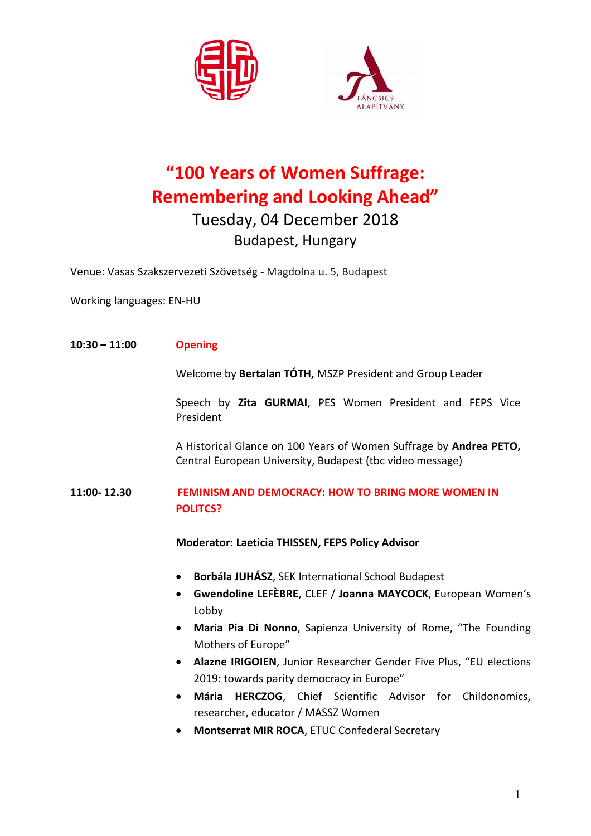



# **"100 Years of Women Suffrage: Remembering and Looking Ahead"** Tuesday, 04 December 2018 Budapest, Hungary

Venue: Vasas Szakszervezeti Szövetség - Magdolna u. 5, Budapest

Working languages: EN-HU

#### **10:30 – 11:00 Opening**

Welcome by **Bertalan TÓTH,** MSZP President and Group Leader

Speech by **Zita GURMAI**, PES Women President and FEPS Vice President

A Historical Glance on 100 Years of Women Suffrage by **Andrea PETO,**  Central European University, Budapest (tbc video message)

### **11:00- 12.30 FEMINISM AND DEMOCRACY: HOW TO BRING MORE WOMEN IN POLITCS?**

**Moderator: Laeticia THISSEN, FEPS Policy Advisor** 

- **Borbála JUHÁSZ**, SEK International School Budapest
- **Gwendoline LEFÈBRE**, CLEF / **Joanna MAYCOCK**, European Women's Lobby
- **Maria Pia Di Nonno**, Sapienza University of Rome, "The Founding Mothers of Europe"
- **Alazne IRIGOIEN**, Junior Researcher Gender Five Plus, "EU elections 2019: towards parity democracy in Europe"
- **Mária HERCZOG**, Chief Scientific Advisor for Childonomics, researcher, educator / MASSZ Women
- **Montserrat MIR ROCA**, ETUC Confederal Secretary